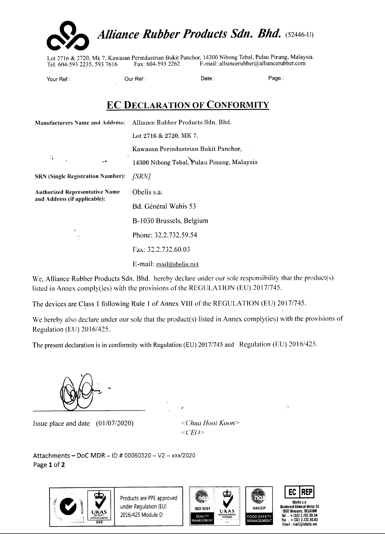

Lot 2716 & 2720, Mk 7, Kawasan Perindustrian Bukit Panchor, 14300 Nibong Tebal, Pulau Pinang, Malaysia. Tel: 604-593 2235, 5937616 Fax: 604-593 2262 E-mail: alliancerubber@alliancerubber.com

Your Ref: Our Ref: Date: Page:

## **EC DECLARATION OF CONFORMITY**

|                                                                       | Manufacturers Name and Address: Alliance Rubber Products Sdn. Bhd. |
|-----------------------------------------------------------------------|--------------------------------------------------------------------|
|                                                                       | Lot 2716 & 2720, MK 7,                                             |
|                                                                       | Kawasan Perindustrian Bukit Panchor,                               |
| ę<br>- .                                                              | 14300 Nibong Tebal, Pulau Pinang, Malaysia                         |
| <b>SRN (Single Registration Number):</b>                              | <i> SRN]</i>                                                       |
| <b>Authorized Representative Name</b><br>and Address (if applicable): | Obelis s.a.                                                        |
|                                                                       | Bd. Général Wahis 53                                               |
|                                                                       | B-1030 Brussels, Belgium                                           |
| $\blacktriangleleft$                                                  | Phone: 32.2.732.59.54                                              |
|                                                                       | Fax: 32.2.732.60.03                                                |
|                                                                       | E-mail: mail@obelis.net                                            |

We, Alliance Rubber Products Sdn. Bhd. hereby declare under our sole responsibility that the product(s) listed in Annex comply(ies) with the provisions of the REGULATION (EU) *20171745.*

The devices are Class 1 following Rule 1 of Annex VIII of the REGULATION (EU) 2017/745.

We hereby also declare under our sole that the product(s) listed in Annex comply(ies) with the provisions of Regulation (EU) 2016/425.

The present declaration is in conformity with Regulation (EU) 2017/745 and Regulation (EU) 2016/425.

 $\overline{\epsilon}$ 

Issue place and date (0 I/07/2020) *<Chua Hooi Koon>*

*<CEO>*

Attachments - DoC MDR - ID # 00060320 - V2 - *xxxJ2020* Page 1 of 2



Products are PPE approved under Regulation (EU) 2016/425 Module D







 $\rightarrow$